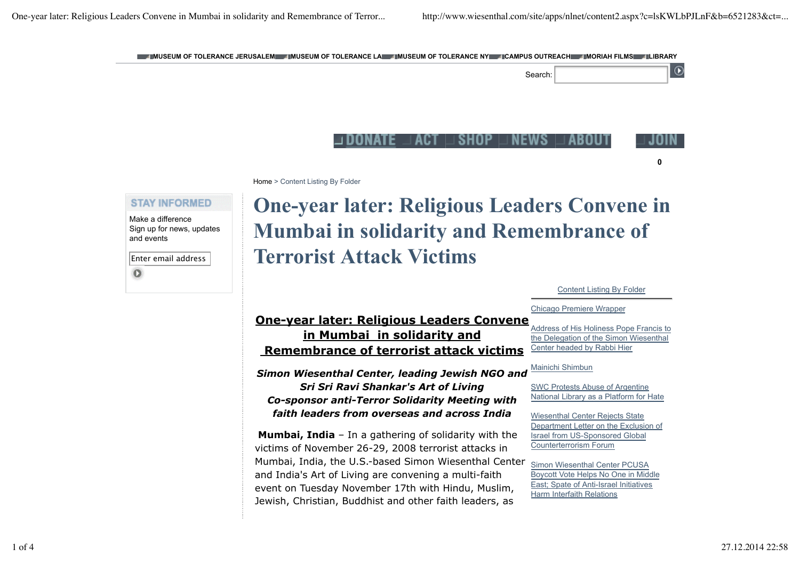

Content Listing By Folder

## Chicago Premiere Wrapper

## **One-year later: Religious Leaders Convene in Mumbai in solidarity and Remembrance of terrorist attack victims**

*Simon Wiesenthal Center, leading Jewish NGO and Sri Sri Ravi Shankar's Art of Living Co-sponsor anti-Terror Solidarity Meeting with faith leaders from overseas and across India*

**Mumbai, India** – In a gathering of solidarity with the victims of November 26-29, 2008 terrorist attacks in Mumbai, India, the U.S.-based Simon Wiesenthal Center and India's Art of Living are convening a multi-faith event on Tuesday November 17th with Hindu, Muslim, Jewish, Christian, Buddhist and other faith leaders, as

Address of His Holiness Pope Francis to the Delegation of the Simon Wiesenthal Center headed by Rabbi Hier

## Mainichi Shimbun

SWC Protests Abuse of Argentine National Library as a Platform for Hate

Wiesenthal Center Rejects State Department Letter on the Exclusion of Israel from US-Sponsored Global Counterterrorism Forum

Simon Wiesenthal Center PCUSA Boycott Vote Helps No One in Middle East; Spate of Anti-Israel Initiatives Harm Interfaith Relations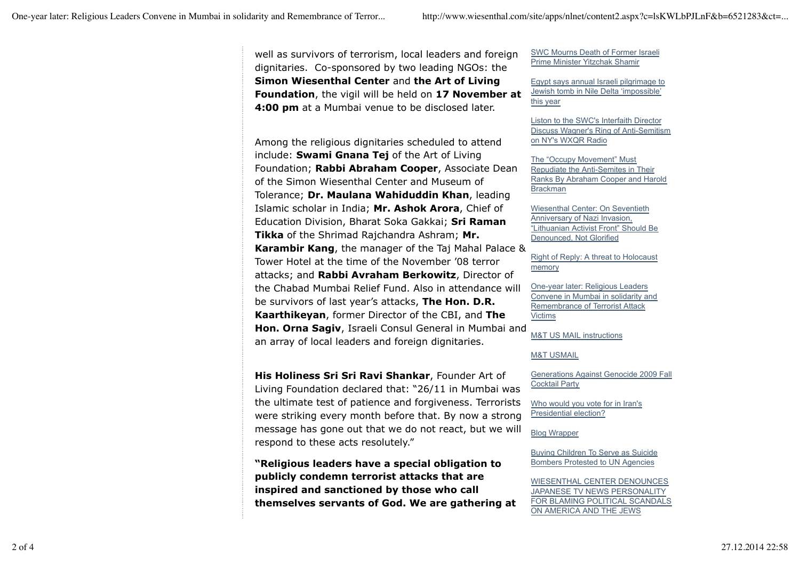well as survivors of terrorism, local leaders and foreign dignitaries. Co-sponsored by two leading NGOs: the **Simon Wiesenthal Center** and **the Art of Living Foundation**, the vigil will be held on **17 November at 4:00 pm** at a Mumbai venue to be disclosed later.

Among the religious dignitaries scheduled to attend include: **Swami Gnana Tej** of the Art of Living Foundation; **Rabbi Abraham Cooper**, Associate Dean of the Simon Wiesenthal Center and Museum of Tolerance; **Dr. Maulana Wahiduddin Khan**, leading Islamic scholar in India; **Mr. Ashok Arora**, Chief of Education Division, Bharat Soka Gakkai; **Sri Raman Tikka** of the Shrimad Rajchandra Ashram; **Mr. Karambir Kang**, the manager of the Taj Mahal Palace & Tower Hotel at the time of the November '08 terror attacks; and **Rabbi Avraham Berkowitz**, Director of the Chabad Mumbai Relief Fund. Also in attendance will be survivors of last year's attacks, **The Hon. D.R. Kaarthikeyan**, former Director of the CBI, and **The Hon. Orna Sagiv**, Israeli Consul General in Mumbai and an array of local leaders and foreign dignitaries.

**His Holiness Sri Sri Ravi Shankar**, Founder Art of Living Foundation declared that: "26/11 in Mumbai was the ultimate test of patience and forgiveness. Terrorists were striking every month before that. By now a strong message has gone out that we do not react, but we will respond to these acts resolutely."

**"Religious leaders have a special obligation to publicly condemn terrorist attacks that are inspired and sanctioned by those who call themselves servants of God. We are gathering at** SWC Mourns Death of Former Israeli Prime Minister Yitzchak Shamir

Egypt says annual Israeli pilgrimage to Jewish tomb in Nile Delta 'impossible' this year

Liston to the SWC's Interfaith Director Discuss Wagner's Ring of Anti-Semitism on NY's WXQR Radio

The "Occupy Movement" Must Repudiate the Anti-Semites in Their Ranks By Abraham Cooper and Harold Brackman

Wiesenthal Center: On Seventieth Anniversary of Nazi Invasion, "Lithuanian Activist Front" Should Be Denounced, Not Glorified

Right of Reply: A threat to Holocaust memory

One-year later: Religious Leaders Convene in Mumbai in solidarity and Remembrance of Terrorist Attack Victims

M&T US MAIL instructions

## M&T USMAIL

Generations Against Genocide 2009 Fall Cocktail Party

Who would you vote for in Iran's Presidential election?

Blog Wrapper

Buying Children To Serve as Suicide Bombers Protested to UN Agencies

WIESENTHAL CENTER DENOUNCES JAPANESE TV NEWS PERSONALITY FOR BLAMING POLITICAL SCANDALS ON AMERICA AND THE JEWS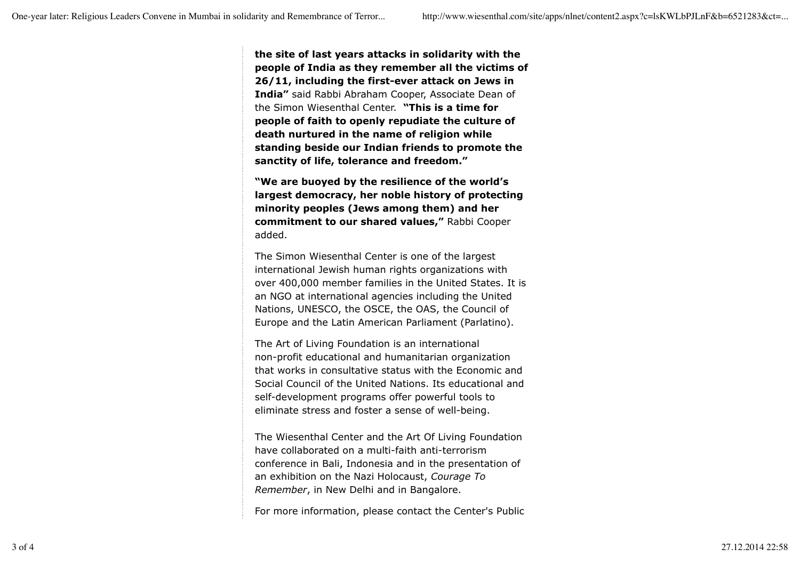**the site of last years attacks in solidarity with the people of India as they remember all the victims of 26/11, including the first-ever attack on Jews in India"** said Rabbi Abraham Cooper, Associate Dean of the Simon Wiesenthal Center. **"This is a time for people of faith to openly repudiate the culture of death nurtured in the name of religion while standing beside our Indian friends to promote the sanctity of life, tolerance and freedom."**

**"We are buoyed by the resilience of the world's largest democracy, her noble history of protecting minority peoples (Jews among them) and her commitment to our shared values,"** Rabbi Cooper added.

The Simon Wiesenthal Center is one of the largest international Jewish human rights organizations with over 400,000 member families in the United States. It is an NGO at international agencies including the United Nations, UNESCO, the OSCE, the OAS, the Council of Europe and the Latin American Parliament (Parlatino).

The Art of Living Foundation is an international non-profit educational and humanitarian organization that works in consultative status with the Economic and Social Council of the United Nations. Its educational and self-development programs offer powerful tools to eliminate stress and foster a sense of well-being.

The Wiesenthal Center and the Art Of Living Foundation have collaborated on a multi-faith anti-terrorism conference in Bali, Indonesia and in the presentation of an exhibition on the Nazi Holocaust, *Courage To Remember*, in New Delhi and in Bangalore.

For more information, please contact the Center's Public